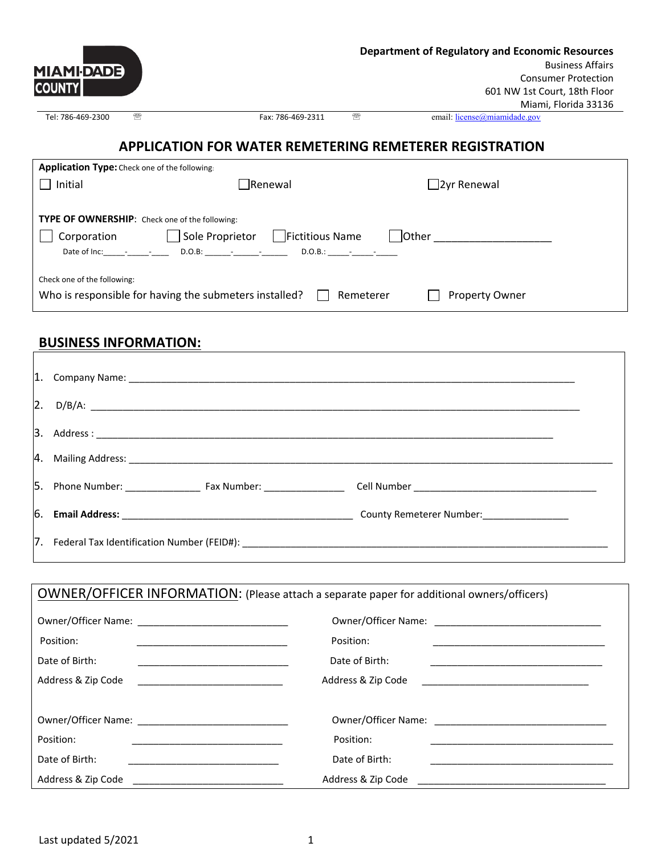| <b>MIAMI-DADE</b> |   | <b>Department of Regulatory and Economic Resources</b><br><b>Business Affairs</b><br><b>Consumer Protection</b> |
|-------------------|---|-----------------------------------------------------------------------------------------------------------------|
| <b>COUNTY</b>     |   | 601 NW 1st Court, 18th Floor                                                                                    |
|                   |   | Miami, Florida 33136                                                                                            |
| Tel: 786-469-2300 | ☎ | ☎<br>email: $license(\hat{\theta})$ miamidade.gov<br>Fax: 786-469-2311                                          |
|                   |   |                                                                                                                 |

## **APPLICATION FOR WATER REMETERING REMETERER REGISTRATION**

| <b>Application Type:</b> Check one of the following:                                         |                                 |                    |  |  |
|----------------------------------------------------------------------------------------------|---------------------------------|--------------------|--|--|
| Initial                                                                                      | $\Box$ Renewal                  | $\Box$ 2yr Renewal |  |  |
|                                                                                              |                                 |                    |  |  |
| <b>TYPE OF OWNERSHIP:</b> Check one of the following:                                        |                                 |                    |  |  |
| Sole Proprietor<br>Corporation                                                               | Fictitious Name<br><b>Other</b> |                    |  |  |
| Date of $Inc:$ $ -$                                                                          | $D.O.B:$ $ -$<br>$D.O.B.:$ $ -$ |                    |  |  |
|                                                                                              |                                 |                    |  |  |
| Check one of the following:                                                                  |                                 |                    |  |  |
| Who is responsible for having the submeters installed?<br>Remeterer<br><b>Property Owner</b> |                                 |                    |  |  |
|                                                                                              |                                 |                    |  |  |

## **BUSINESS INFORMATION:**

| $ 2. \quad D/B/A:$                                                               |  |
|----------------------------------------------------------------------------------|--|
|                                                                                  |  |
|                                                                                  |  |
|                                                                                  |  |
|                                                                                  |  |
| 7. Federal Tax Identification Number (FEID#): __________________________________ |  |

| OWNER/OFFICER INFORMATION: (Please attach a separate paper for additional owners/officers)                    |                                                                                                                                            |  |  |
|---------------------------------------------------------------------------------------------------------------|--------------------------------------------------------------------------------------------------------------------------------------------|--|--|
|                                                                                                               |                                                                                                                                            |  |  |
| Position:                                                                                                     | Position:                                                                                                                                  |  |  |
| Date of Birth:                                                                                                | Date of Birth:                                                                                                                             |  |  |
| Address & Zip Code                                                                                            | Address & Zip Code<br><u> 1980 - Jan Barbara, martin a shekara 1980 - An tsa a tsa a tsa a tsa a tsa a tsa a tsa a tsa a tsa a tsa a t</u> |  |  |
|                                                                                                               |                                                                                                                                            |  |  |
| Owner/Officer Name: 2008 2010 2021 2022 2023 2024 2022 2023 2024 2022 2023 2024 2022 2023 2024 2022 2023 2024 |                                                                                                                                            |  |  |
| Position:                                                                                                     | Position:                                                                                                                                  |  |  |
| Date of Birth:                                                                                                | Date of Birth:                                                                                                                             |  |  |
|                                                                                                               |                                                                                                                                            |  |  |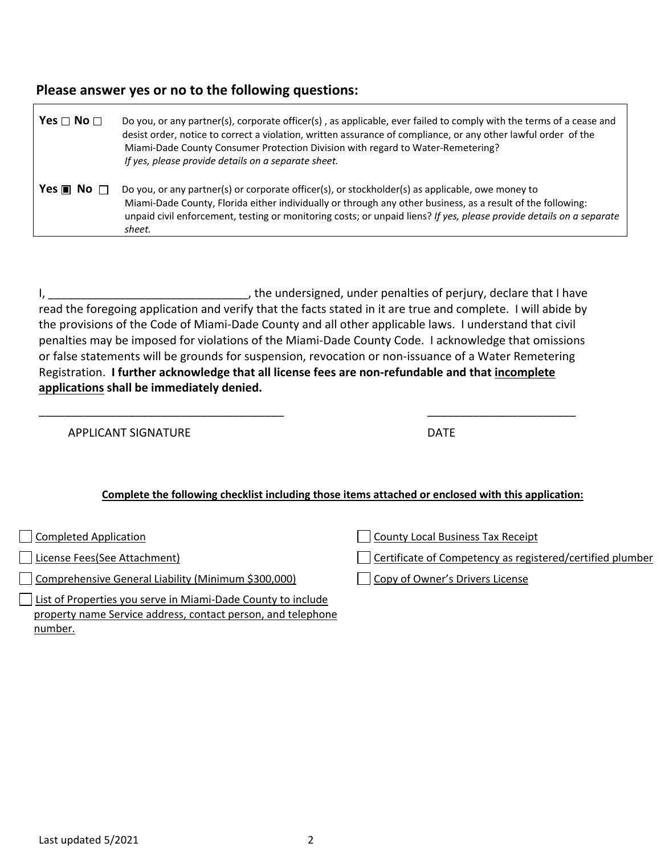## **Please answer yes or no to the following questions:**

| Yes $\Box$ No $\Box$         | Do you, or any partner(s), corporate officer(s), as applicable, ever failed to comply with the terms of a cease and<br>desist order, notice to correct a violation, written assurance of compliance, or any other lawful order of the<br>Miami-Dade County Consumer Protection Division with regard to Water-Remetering?<br>If yes, please provide details on a separate sheet. |  |
|------------------------------|---------------------------------------------------------------------------------------------------------------------------------------------------------------------------------------------------------------------------------------------------------------------------------------------------------------------------------------------------------------------------------|--|
| Yes $\blacksquare$ No $\Box$ | Do you, or any partner(s) or corporate officer(s), or stockholder(s) as applicable, owe money to<br>Miami-Dade County, Florida either individually or through any other business, as a result of the following:<br>unpaid civil enforcement, testing or monitoring costs; or unpaid liens? If yes, please provide details on a separate<br>sheet.                               |  |

I, \_\_\_\_\_\_\_\_\_\_\_\_\_\_\_\_\_\_\_\_\_\_\_\_\_\_\_\_\_\_\_, the undersigned, under penalties of perjury, declare that I have read the foregoing application and verify that the facts stated in it are true and complete. I will abide by the provisions of the Code of Miami-Dade County and all other applicable laws. I understand that civil penalties may be imposed for violations of the Miami-Dade County Code. I acknowledge that omissions or false statements will be grounds for suspension, revocation or non-issuance of a Water Remetering Registration. **I further acknowledge that all license fees are non-refundable and that incomplete applications shall be immediately denied.** 

\_\_\_\_\_\_\_\_\_\_\_\_\_\_\_\_\_\_\_\_\_\_\_\_\_\_\_\_\_\_\_\_\_\_\_\_\_\_ \_\_\_\_\_\_\_\_\_\_\_\_\_\_\_\_\_\_\_\_\_\_\_

APPLICANT SIGNATURE **Example 20** and the contract of the contract of the contract of the contract of the contract of the contract of the contract of the contract of the contract of the contract of the contract of the contr

## **Complete the following checklist including those items attached or enclosed with this application:**

 $\overline{\Gamma}$ 

Comprehensive General Liability (Minimum \$300,000) Copy of Owner's Drivers License

List of Properties you serve in Miami-Dade County to include property name Service address, contact person, and telephone number.

Completed Application County Local Business Tax Receipt

License Fees(See Attachment) Certificate of Competency as registered/certified plumber